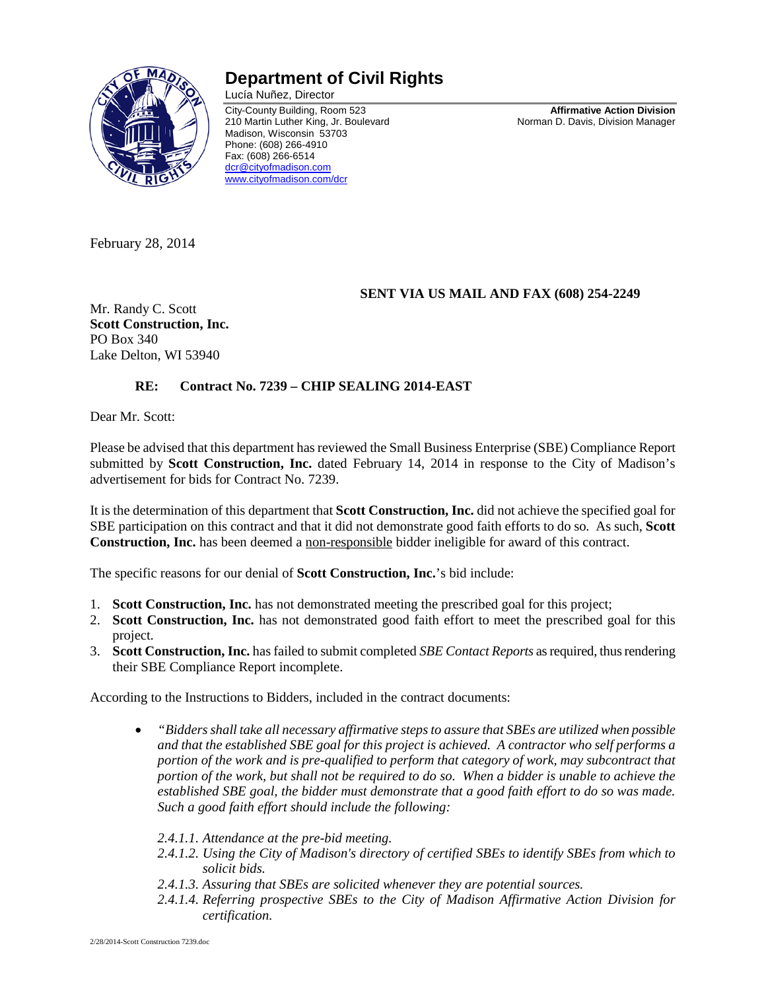

## **Department of Civil Rights**

Lucía Nuñez, Director City-County Building, Room 523 **Affirmative Action Division** 210 Martin Luther King, Jr. Boulevard Madison, Wisconsin 53703 Phone: (608) 266-4910 Fax: (608) 266-6514 [dcr@cityofmadison.com](mailto:dcr@cityofmadison.com) [www.cityofmadison.com/dcr](http://www.cityofmadison.com/dcr)

February 28, 2014

## **SENT VIA US MAIL AND FAX (608) 254-2249**

Mr. Randy C. Scott **Scott Construction, Inc.** PO Box 340 Lake Delton, WI 53940

## **RE: Contract No. 7239 – CHIP SEALING 2014-EAST**

Dear Mr. Scott:

Please be advised that this department has reviewed the Small Business Enterprise (SBE) Compliance Report submitted by **Scott Construction, Inc.** dated February 14, 2014 in response to the City of Madison's advertisement for bids for Contract No. 7239.

It is the determination of this department that **Scott Construction, Inc.** did not achieve the specified goal for SBE participation on this contract and that it did not demonstrate good faith efforts to do so. As such, **Scott Construction, Inc.** has been deemed a non-responsible bidder ineligible for award of this contract.

The specific reasons for our denial of **Scott Construction, Inc.**'s bid include:

- 1. **Scott Construction, Inc.** has not demonstrated meeting the prescribed goal for this project;
- 2. **Scott Construction, Inc.** has not demonstrated good faith effort to meet the prescribed goal for this project.
- 3. **Scott Construction, Inc.** has failed to submit completed *SBE Contact Reports* as required, thus rendering their SBE Compliance Report incomplete.

According to the Instructions to Bidders, included in the contract documents:

• *"Bidders shall take all necessary affirmative steps to assure that SBEs are utilized when possible and that the established SBE goal for this project is achieved. A contractor who self performs a portion of the work and is pre-qualified to perform that category of work, may subcontract that portion of the work, but shall not be required to do so. When a bidder is unable to achieve the established SBE goal, the bidder must demonstrate that a good faith effort to do so was made. Such a good faith effort should include the following:*

*2.4.1.1. Attendance at the pre-bid meeting.*

- *2.4.1.2. Using the City of Madison's directory of certified SBEs to identify SBEs from which to solicit bids.*
- *2.4.1.3. Assuring that SBEs are solicited whenever they are potential sources.*
- *2.4.1.4. Referring prospective SBEs to the City of Madison Affirmative Action Division for certification.*